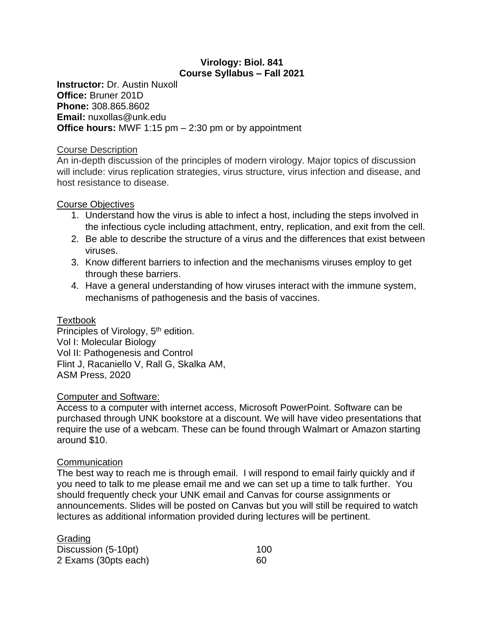## **Virology: Biol. 841 Course Syllabus – Fall 2021**

**Instructor:** Dr. Austin Nuxoll **Office:** Bruner 201D **Phone:** 308.865.8602 **Email:** nuxollas@unk.edu **Office hours:** MWF 1:15 pm – 2:30 pm or by appointment

#### Course Description

An in-depth discussion of the principles of modern virology. Major topics of discussion will include: virus replication strategies, virus structure, virus infection and disease, and host resistance to disease.

## Course Objectives

- 1. Understand how the virus is able to infect a host, including the steps involved in the infectious cycle including attachment, entry, replication, and exit from the cell.
- 2. Be able to describe the structure of a virus and the differences that exist between viruses.
- 3. Know different barriers to infection and the mechanisms viruses employ to get through these barriers.
- 4. Have a general understanding of how viruses interact with the immune system, mechanisms of pathogenesis and the basis of vaccines.

## **Textbook**

Principles of Virology, 5<sup>th</sup> edition. Vol I: Molecular Biology Vol II: Pathogenesis and Control Flint J, Racaniello V, Rall G, Skalka AM, ASM Press, 2020

## Computer and Software:

Access to a computer with internet access, Microsoft PowerPoint. Software can be purchased through UNK bookstore at a discount. We will have video presentations that require the use of a webcam. These can be found through Walmart or Amazon starting around \$10.

## **Communication**

The best way to reach me is through email. I will respond to email fairly quickly and if you need to talk to me please email me and we can set up a time to talk further. You should frequently check your UNK email and Canvas for course assignments or announcements. Slides will be posted on Canvas but you will still be required to watch lectures as additional information provided during lectures will be pertinent.

| Grading              |     |
|----------------------|-----|
| Discussion (5-10pt)  | 100 |
| 2 Exams (30pts each) | 60  |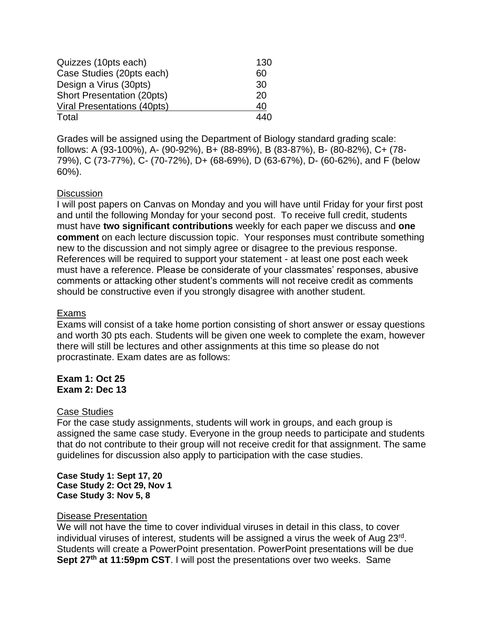| Quizzes (10pts each)              | 130 |  |  |  |
|-----------------------------------|-----|--|--|--|
| Case Studies (20pts each)         |     |  |  |  |
| Design a Virus (30pts)            | 30  |  |  |  |
| <b>Short Presentation (20pts)</b> | 20  |  |  |  |
| Viral Presentations (40pts)       | 40  |  |  |  |
| Total                             | 440 |  |  |  |

Grades will be assigned using the Department of Biology standard grading scale: follows: A (93-100%), A- (90-92%), B+ (88-89%), B (83-87%), B- (80-82%), C+ (78- 79%), C (73-77%), C- (70-72%), D+ (68-69%), D (63-67%), D- (60-62%), and F (below 60%).

## **Discussion**

I will post papers on Canvas on Monday and you will have until Friday for your first post and until the following Monday for your second post. To receive full credit, students must have **two significant contributions** weekly for each paper we discuss and **one comment** on each lecture discussion topic. Your responses must contribute something new to the discussion and not simply agree or disagree to the previous response. References will be required to support your statement - at least one post each week must have a reference. Please be considerate of your classmates' responses, abusive comments or attacking other student's comments will not receive credit as comments should be constructive even if you strongly disagree with another student.

#### Exams

Exams will consist of a take home portion consisting of short answer or essay questions and worth 30 pts each. Students will be given one week to complete the exam, however there will still be lectures and other assignments at this time so please do not procrastinate. Exam dates are as follows:

**Exam 1: Oct 25 Exam 2: Dec 13**

#### Case Studies

For the case study assignments, students will work in groups, and each group is assigned the same case study. Everyone in the group needs to participate and students that do not contribute to their group will not receive credit for that assignment. The same guidelines for discussion also apply to participation with the case studies.

**Case Study 1: Sept 17, 20 Case Study 2: Oct 29, Nov 1 Case Study 3: Nov 5, 8**

#### Disease Presentation

We will not have the time to cover individual viruses in detail in this class, to cover individual viruses of interest, students will be assigned a virus the week of Aug 23rd. Students will create a PowerPoint presentation. PowerPoint presentations will be due **Sept 27th at 11:59pm CST**. I will post the presentations over two weeks. Same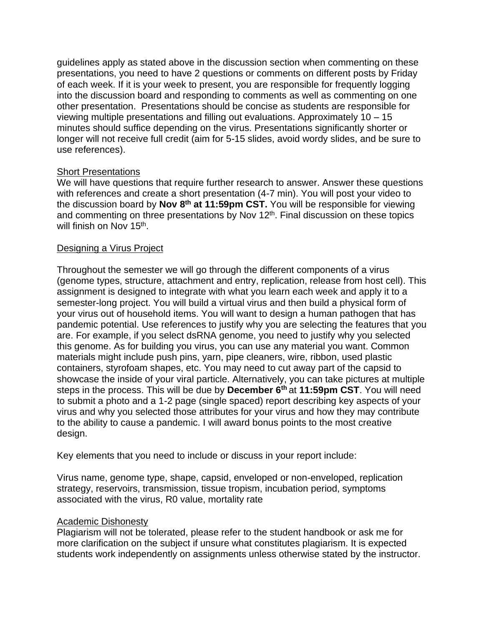guidelines apply as stated above in the discussion section when commenting on these presentations, you need to have 2 questions or comments on different posts by Friday of each week. If it is your week to present, you are responsible for frequently logging into the discussion board and responding to comments as well as commenting on one other presentation. Presentations should be concise as students are responsible for viewing multiple presentations and filling out evaluations. Approximately 10 – 15 minutes should suffice depending on the virus. Presentations significantly shorter or longer will not receive full credit (aim for 5-15 slides, avoid wordy slides, and be sure to use references).

## **Short Presentations**

We will have questions that require further research to answer. Answer these questions with references and create a short presentation (4-7 min). You will post your video to the discussion board by Nov 8<sup>th</sup> at 11:59pm CST. You will be responsible for viewing and commenting on three presentations by Nov 12<sup>th</sup>. Final discussion on these topics will finish on Nov 15<sup>th</sup>.

## Designing a Virus Project

Throughout the semester we will go through the different components of a virus (genome types, structure, attachment and entry, replication, release from host cell). This assignment is designed to integrate with what you learn each week and apply it to a semester-long project. You will build a virtual virus and then build a physical form of your virus out of household items. You will want to design a human pathogen that has pandemic potential. Use references to justify why you are selecting the features that you are. For example, if you select dsRNA genome, you need to justify why you selected this genome. As for building you virus, you can use any material you want. Common materials might include push pins, yarn, pipe cleaners, wire, ribbon, used plastic containers, styrofoam shapes, etc. You may need to cut away part of the capsid to showcase the inside of your viral particle. Alternatively, you can take pictures at multiple steps in the process. This will be due by **December 6th** at **11:59pm CST**. You will need to submit a photo and a 1-2 page (single spaced) report describing key aspects of your virus and why you selected those attributes for your virus and how they may contribute to the ability to cause a pandemic. I will award bonus points to the most creative design.

Key elements that you need to include or discuss in your report include:

Virus name, genome type, shape, capsid, enveloped or non-enveloped, replication strategy, reservoirs, transmission, tissue tropism, incubation period, symptoms associated with the virus, R0 value, mortality rate

## Academic Dishonesty

Plagiarism will not be tolerated, please refer to the student handbook or ask me for more clarification on the subject if unsure what constitutes plagiarism. It is expected students work independently on assignments unless otherwise stated by the instructor.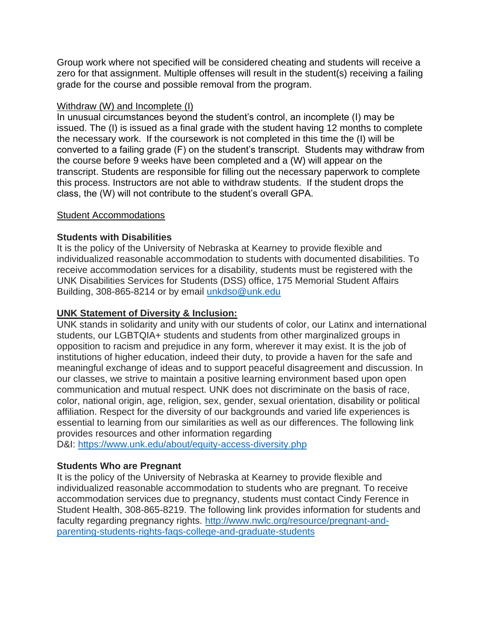Group work where not specified will be considered cheating and students will receive a zero for that assignment. Multiple offenses will result in the student(s) receiving a failing grade for the course and possible removal from the program.

## Withdraw (W) and Incomplete (I)

In unusual circumstances beyond the student's control, an incomplete (I) may be issued. The (I) is issued as a final grade with the student having 12 months to complete the necessary work. If the coursework is not completed in this time the (I) will be converted to a failing grade (F) on the student's transcript. Students may withdraw from the course before 9 weeks have been completed and a (W) will appear on the transcript. Students are responsible for filling out the necessary paperwork to complete this process. Instructors are not able to withdraw students. If the student drops the class, the (W) will not contribute to the student's overall GPA.

## Student Accommodations

## **Students with Disabilities**

It is the policy of the University of Nebraska at Kearney to provide flexible and individualized reasonable accommodation to students with documented disabilities. To receive accommodation services for a disability, students must be registered with the UNK Disabilities Services for Students (DSS) office, 175 Memorial Student Affairs Building, 308-865-8214 or by email [unkdso@unk.edu](mailto:unkdso@unk.edu)

## **UNK Statement of Diversity & Inclusion:**

UNK stands in solidarity and unity with our students of color, our Latinx and international students, our LGBTQIA+ students and students from other marginalized groups in opposition to racism and prejudice in any form, wherever it may exist. It is the job of institutions of higher education, indeed their duty, to provide a haven for the safe and meaningful exchange of ideas and to support peaceful disagreement and discussion. In our classes, we strive to maintain a positive learning environment based upon open communication and mutual respect. UNK does not discriminate on the basis of race, color, national origin, age, religion, sex, gender, sexual orientation, disability or political affiliation. Respect for the diversity of our backgrounds and varied life experiences is essential to learning from our similarities as well as our differences. The following link provides resources and other information regarding

D&I: <https://www.unk.edu/about/equity-access-diversity.php>

# **Students Who are Pregnant**

It is the policy of the University of Nebraska at Kearney to provide flexible and individualized reasonable accommodation to students who are pregnant. To receive accommodation services due to pregnancy, students must contact Cindy Ference in Student Health, 308-865-8219. The following link provides information for students and faculty regarding pregnancy rights. [http://www.nwlc.org/resource/pregnant-and](https://urldefense.proofpoint.com/v2/url?u=http-3A__www.nwlc.org_resource_pregnant-2Dand-2Dparenting-2Dstudents-2Drights-2Dfaqs-2Dcollege-2Dand-2Dgraduate-2Dstudents&d=DwMFAg&c=Cu5g146wZdoqVuKpTNsYHeFX_rg6kWhlkLF8Eft-wwo&r=BJkIhAaMtWY7PlqIhIOyVw&m=RgBL3s2VNHfvD5ReMK2q_PhwYU8dbEt1vxs1BO4WkpQ&s=MmB91XAzaW-E7UPMXPGx9tWJQbTWJYyYzM8gLjhEzQ0&e=)[parenting-students-rights-faqs-college-and-graduate-students](https://urldefense.proofpoint.com/v2/url?u=http-3A__www.nwlc.org_resource_pregnant-2Dand-2Dparenting-2Dstudents-2Drights-2Dfaqs-2Dcollege-2Dand-2Dgraduate-2Dstudents&d=DwMFAg&c=Cu5g146wZdoqVuKpTNsYHeFX_rg6kWhlkLF8Eft-wwo&r=BJkIhAaMtWY7PlqIhIOyVw&m=RgBL3s2VNHfvD5ReMK2q_PhwYU8dbEt1vxs1BO4WkpQ&s=MmB91XAzaW-E7UPMXPGx9tWJQbTWJYyYzM8gLjhEzQ0&e=)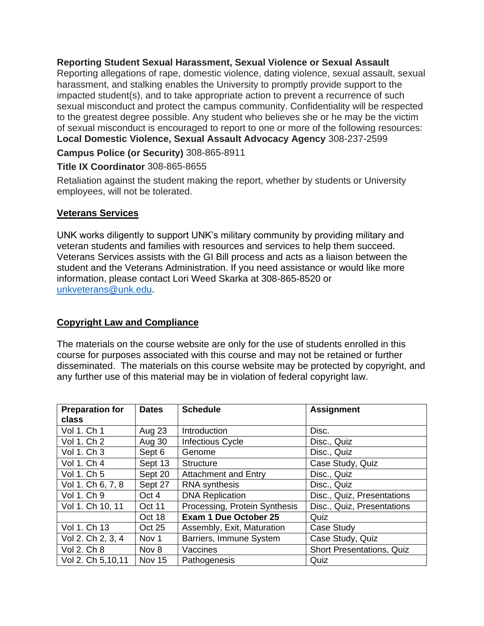**Reporting Student Sexual Harassment, Sexual Violence or Sexual Assault** Reporting allegations of rape, domestic violence, dating violence, sexual assault, sexual harassment, and stalking enables the University to promptly provide support to the impacted student(s), and to take appropriate action to prevent a recurrence of such sexual misconduct and protect the campus community. Confidentiality will be respected to the greatest degree possible. Any student who believes she or he may be the victim of sexual misconduct is encouraged to report to one or more of the following resources: **Local Domestic Violence, Sexual Assault Advocacy Agency** 308-237-2599

**Campus Police (or Security)** 308-865-8911

# **Title IX Coordinator** 308-865-8655

Retaliation against the student making the report, whether by students or University employees, will not be tolerated.

# **Veterans Services**

UNK works diligently to support UNK's military community by providing military and veteran students and families with resources and services to help them succeed. Veterans Services assists with the GI Bill process and acts as a liaison between the student and the Veterans Administration. If you need assistance or would like more information, please contact Lori Weed Skarka at 308-865-8520 or [unkveterans@unk.edu.](mailto:unkveterans@unk.edu)

# **Copyright Law and Compliance**

The materials on the course website are only for the use of students enrolled in this course for purposes associated with this course and may not be retained or further disseminated. The materials on this course website may be protected by copyright, and any further use of this material may be in violation of federal copyright law.

| <b>Preparation for</b><br>class | <b>Dates</b>     | <b>Schedule</b>               | <b>Assignment</b>                |
|---------------------------------|------------------|-------------------------------|----------------------------------|
| Vol 1. Ch 1                     | <b>Aug 23</b>    | Introduction                  | Disc.                            |
| Vol 1. Ch 2                     | Aug 30           | <b>Infectious Cycle</b>       | Disc., Quiz                      |
| Vol 1. Ch 3                     | Sept 6           | Genome                        | Disc., Quiz                      |
| Vol 1. Ch 4                     | Sept 13          | <b>Structure</b>              | Case Study, Quiz                 |
| Vol 1. Ch 5                     | Sept 20          | <b>Attachment and Entry</b>   | Disc., Quiz                      |
| Vol 1. Ch 6, 7, 8               | Sept 27          | <b>RNA</b> synthesis          | Disc., Quiz                      |
| Vol 1. Ch 9                     | Oct 4            | <b>DNA Replication</b>        | Disc., Quiz, Presentations       |
| Vol 1. Ch 10, 11                | Oct 11           | Processing, Protein Synthesis | Disc., Quiz, Presentations       |
|                                 | Oct 18           | <b>Exam 1 Due October 25</b>  | Quiz                             |
| Vol 1. Ch 13                    | <b>Oct 25</b>    | Assembly, Exit, Maturation    | Case Study                       |
| Vol 2. Ch 2, 3, 4               | Nov <sub>1</sub> | Barriers, Immune System       | Case Study, Quiz                 |
| Vol 2. Ch 8                     | Nov 8            | Vaccines                      | <b>Short Presentations, Quiz</b> |
| Vol 2. Ch 5,10,11               | <b>Nov 15</b>    | Pathogenesis                  | Quiz                             |